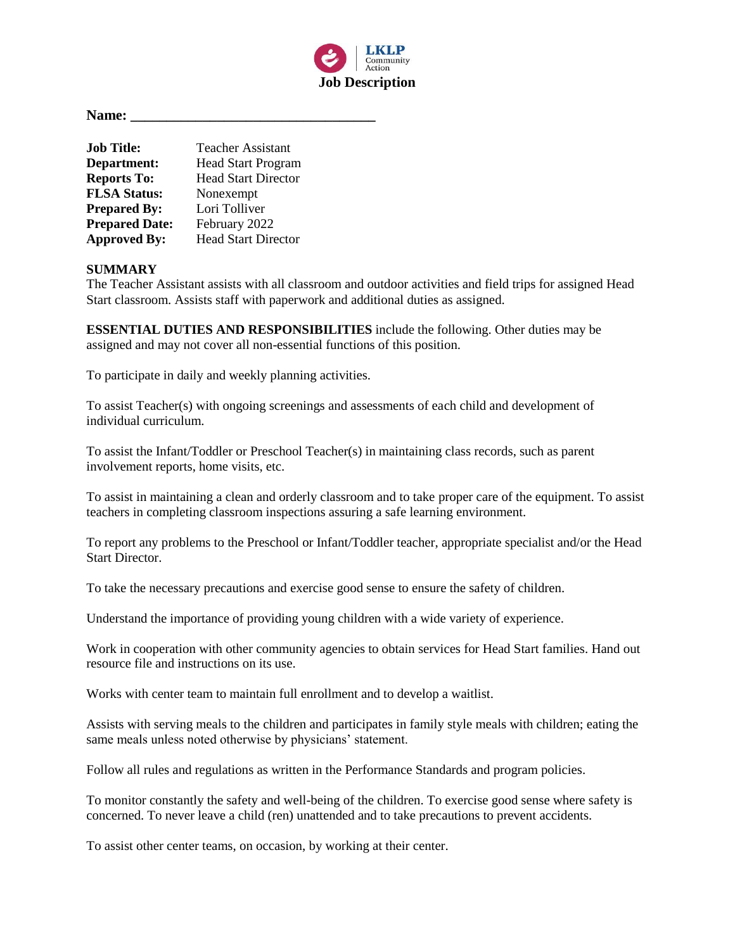

**Name: \_\_\_\_\_\_\_\_\_\_\_\_\_\_\_\_\_\_\_\_\_\_\_\_\_\_\_\_\_\_\_\_\_\_**

| <b>Job Title:</b>     | Teacher Assistant          |
|-----------------------|----------------------------|
| Department:           | <b>Head Start Program</b>  |
| <b>Reports To:</b>    | <b>Head Start Director</b> |
| <b>FLSA Status:</b>   | Nonexempt                  |
| <b>Prepared By:</b>   | Lori Tolliver              |
| <b>Prepared Date:</b> | February 2022              |
| <b>Approved By:</b>   | <b>Head Start Director</b> |

#### **SUMMARY**

The Teacher Assistant assists with all classroom and outdoor activities and field trips for assigned Head Start classroom. Assists staff with paperwork and additional duties as assigned.

**ESSENTIAL DUTIES AND RESPONSIBILITIES** include the following. Other duties may be assigned and may not cover all non-essential functions of this position.

To participate in daily and weekly planning activities.

To assist Teacher(s) with ongoing screenings and assessments of each child and development of individual curriculum.

To assist the Infant/Toddler or Preschool Teacher(s) in maintaining class records, such as parent involvement reports, home visits, etc.

To assist in maintaining a clean and orderly classroom and to take proper care of the equipment. To assist teachers in completing classroom inspections assuring a safe learning environment.

To report any problems to the Preschool or Infant/Toddler teacher, appropriate specialist and/or the Head Start Director.

To take the necessary precautions and exercise good sense to ensure the safety of children.

Understand the importance of providing young children with a wide variety of experience.

Work in cooperation with other community agencies to obtain services for Head Start families. Hand out resource file and instructions on its use.

Works with center team to maintain full enrollment and to develop a waitlist.

Assists with serving meals to the children and participates in family style meals with children; eating the same meals unless noted otherwise by physicians' statement.

Follow all rules and regulations as written in the Performance Standards and program policies.

To monitor constantly the safety and well-being of the children. To exercise good sense where safety is concerned. To never leave a child (ren) unattended and to take precautions to prevent accidents.

To assist other center teams, on occasion, by working at their center.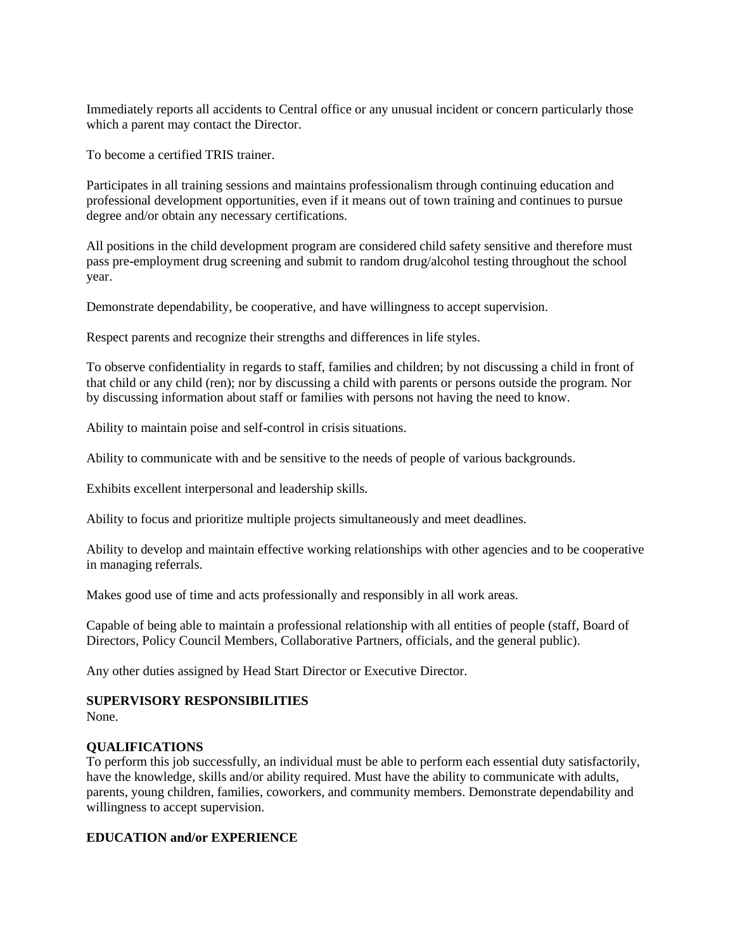Immediately reports all accidents to Central office or any unusual incident or concern particularly those which a parent may contact the Director.

To become a certified TRIS trainer.

Participates in all training sessions and maintains professionalism through continuing education and professional development opportunities, even if it means out of town training and continues to pursue degree and/or obtain any necessary certifications.

All positions in the child development program are considered child safety sensitive and therefore must pass pre-employment drug screening and submit to random drug/alcohol testing throughout the school year.

Demonstrate dependability, be cooperative, and have willingness to accept supervision.

Respect parents and recognize their strengths and differences in life styles.

To observe confidentiality in regards to staff, families and children; by not discussing a child in front of that child or any child (ren); nor by discussing a child with parents or persons outside the program. Nor by discussing information about staff or families with persons not having the need to know.

Ability to maintain poise and self-control in crisis situations.

Ability to communicate with and be sensitive to the needs of people of various backgrounds.

Exhibits excellent interpersonal and leadership skills.

Ability to focus and prioritize multiple projects simultaneously and meet deadlines.

Ability to develop and maintain effective working relationships with other agencies and to be cooperative in managing referrals.

Makes good use of time and acts professionally and responsibly in all work areas.

Capable of being able to maintain a professional relationship with all entities of people (staff, Board of Directors, Policy Council Members, Collaborative Partners, officials, and the general public).

Any other duties assigned by Head Start Director or Executive Director.

#### **SUPERVISORY RESPONSIBILITIES**

None.

### **QUALIFICATIONS**

To perform this job successfully, an individual must be able to perform each essential duty satisfactorily, have the knowledge, skills and/or ability required. Must have the ability to communicate with adults, parents, young children, families, coworkers, and community members. Demonstrate dependability and willingness to accept supervision.

### **EDUCATION and/or EXPERIENCE**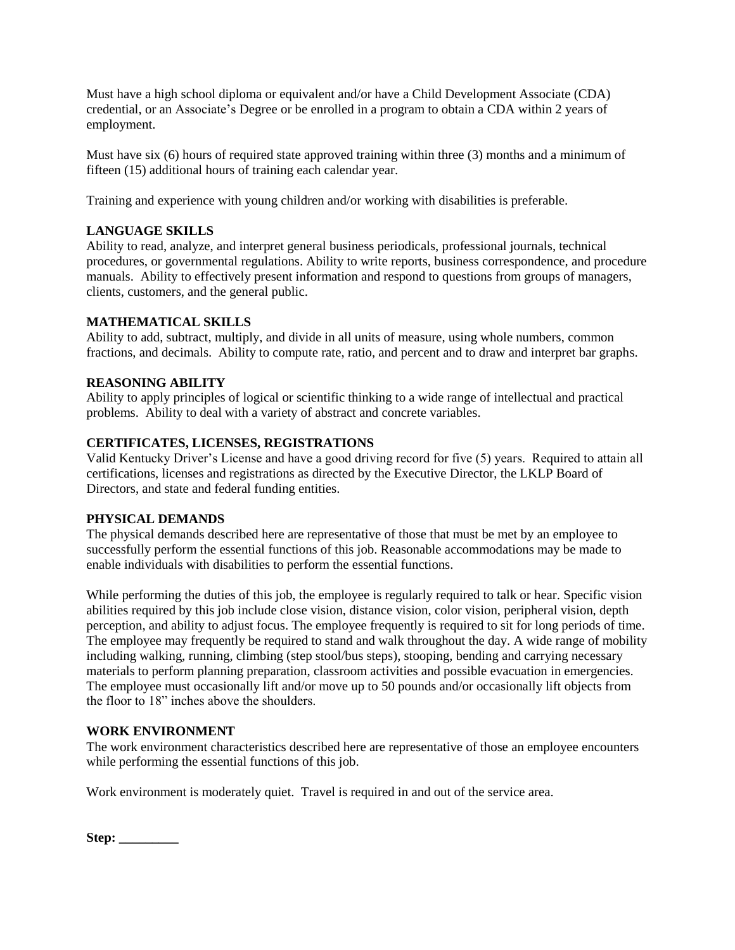Must have a high school diploma or equivalent and/or have a Child Development Associate (CDA) credential, or an Associate's Degree or be enrolled in a program to obtain a CDA within 2 years of employment.

Must have six (6) hours of required state approved training within three (3) months and a minimum of fifteen (15) additional hours of training each calendar year.

Training and experience with young children and/or working with disabilities is preferable.

# **LANGUAGE SKILLS**

Ability to read, analyze, and interpret general business periodicals, professional journals, technical procedures, or governmental regulations. Ability to write reports, business correspondence, and procedure manuals. Ability to effectively present information and respond to questions from groups of managers, clients, customers, and the general public.

### **MATHEMATICAL SKILLS**

Ability to add, subtract, multiply, and divide in all units of measure, using whole numbers, common fractions, and decimals. Ability to compute rate, ratio, and percent and to draw and interpret bar graphs.

## **REASONING ABILITY**

Ability to apply principles of logical or scientific thinking to a wide range of intellectual and practical problems. Ability to deal with a variety of abstract and concrete variables.

## **CERTIFICATES, LICENSES, REGISTRATIONS**

Valid Kentucky Driver's License and have a good driving record for five (5) years. Required to attain all certifications, licenses and registrations as directed by the Executive Director, the LKLP Board of Directors, and state and federal funding entities.

### **PHYSICAL DEMANDS**

The physical demands described here are representative of those that must be met by an employee to successfully perform the essential functions of this job. Reasonable accommodations may be made to enable individuals with disabilities to perform the essential functions.

While performing the duties of this job, the employee is regularly required to talk or hear. Specific vision abilities required by this job include close vision, distance vision, color vision, peripheral vision, depth perception, and ability to adjust focus. The employee frequently is required to sit for long periods of time. The employee may frequently be required to stand and walk throughout the day. A wide range of mobility including walking, running, climbing (step stool/bus steps), stooping, bending and carrying necessary materials to perform planning preparation, classroom activities and possible evacuation in emergencies. The employee must occasionally lift and/or move up to 50 pounds and/or occasionally lift objects from the floor to 18" inches above the shoulders.

# **WORK ENVIRONMENT**

The work environment characteristics described here are representative of those an employee encounters while performing the essential functions of this job.

Work environment is moderately quiet. Travel is required in and out of the service area.